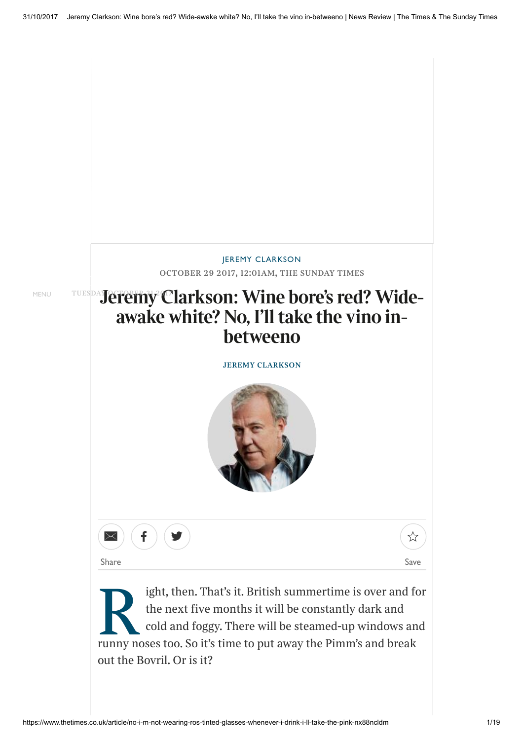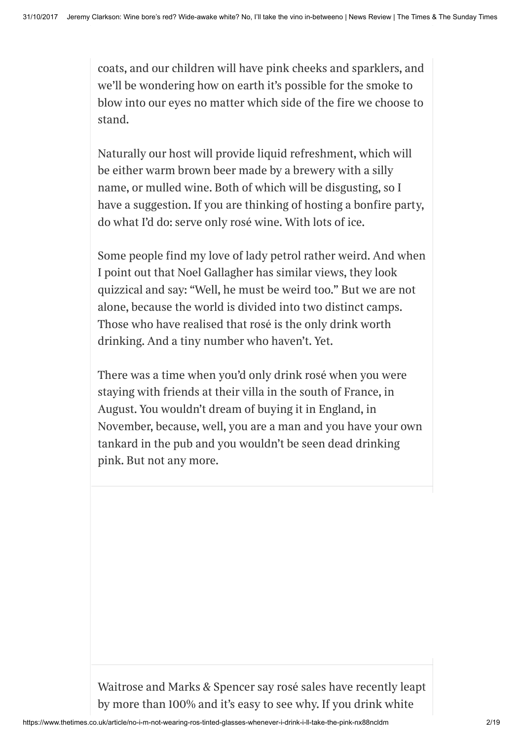coats, and our children will have pink cheeks and sparklers, and we'll be wondering how on earth it's possible for the smoke to blow into our eyes no matter which side of the fire we choose to stand.

Naturally our host will provide liquid refreshment, which will be either warm brown beer made by a brewery with a silly name, or mulled wine. Both of which will be disgusting, so I have a suggestion. If you are thinking of hosting a bonfire party, do what I'd do: serve only rosé wine. With lots of ice.

Some people find my love of lady petrol rather weird. And when I point out that Noel Gallagher has similar views, they look quizzical and say: "Well, he must be weird too." But we are not alone, because the world is divided into two distinct camps. Those who have realised that rosé is the only drink worth drinking. And a tiny number who haven't. Yet.

There was a time when you'd only drink rosé when you were staying with friends at their villa in the south of France, in August. You wouldn't dream of buying it in England, in November, because, well, you are a man and you have your own tankard in the pub and you wouldn't be seen dead drinking pink. But not any more.

Waitrose and Marks & Spencer say rosé sales have recently leapt by more than 100% and it's easy to see why. If you drink white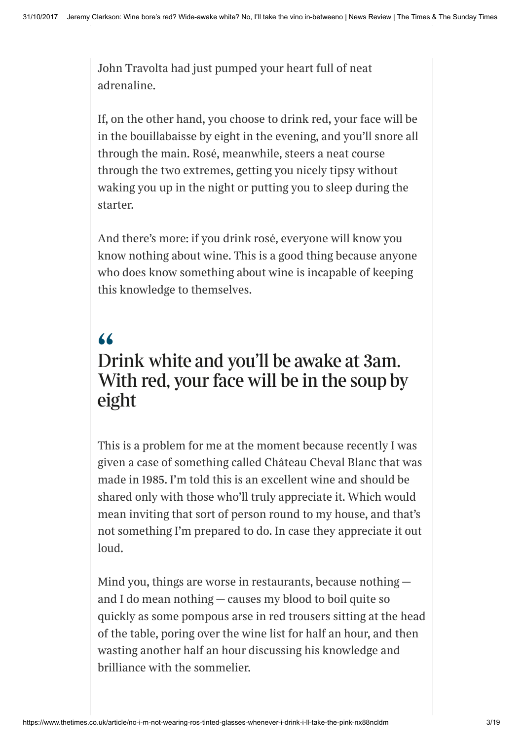John Travolta had just pumped your heart full of neat adrenaline.

If, on the other hand, you choose to drink red, your face will be in the bouillabaisse by eight in the evening, and you'll snore all through the main. Rosé, meanwhile, steers a neat course through the two extremes, getting you nicely tipsy without waking you up in the night or putting you to sleep during the starter.

And there's more: if you drink rosé, everyone will know you know nothing about wine. This is a good thing because anyone who does know something about wine is incapable of keeping this knowledge to themselves.

## " Drink white and you'll be awake at 3am. With red, your face will be in the soup by eight

This is a problem for me at the moment because recently I was given a case of something called Château Cheval Blanc that was made in 1985. I'm told this is an excellent wine and should be shared only with those who'll truly appreciate it. Which would mean inviting that sort of person round to my house, and that's not something I'm prepared to do. In case they appreciate it out loud.

Mind you, things are worse in restaurants, because nothing and I do mean nothing — causes my blood to boil quite so quickly as some pompous arse in red trousers sitting at the head of the table, poring over the wine list for half an hour, and then wasting another half an hour discussing his knowledge and brilliance with the sommelier.